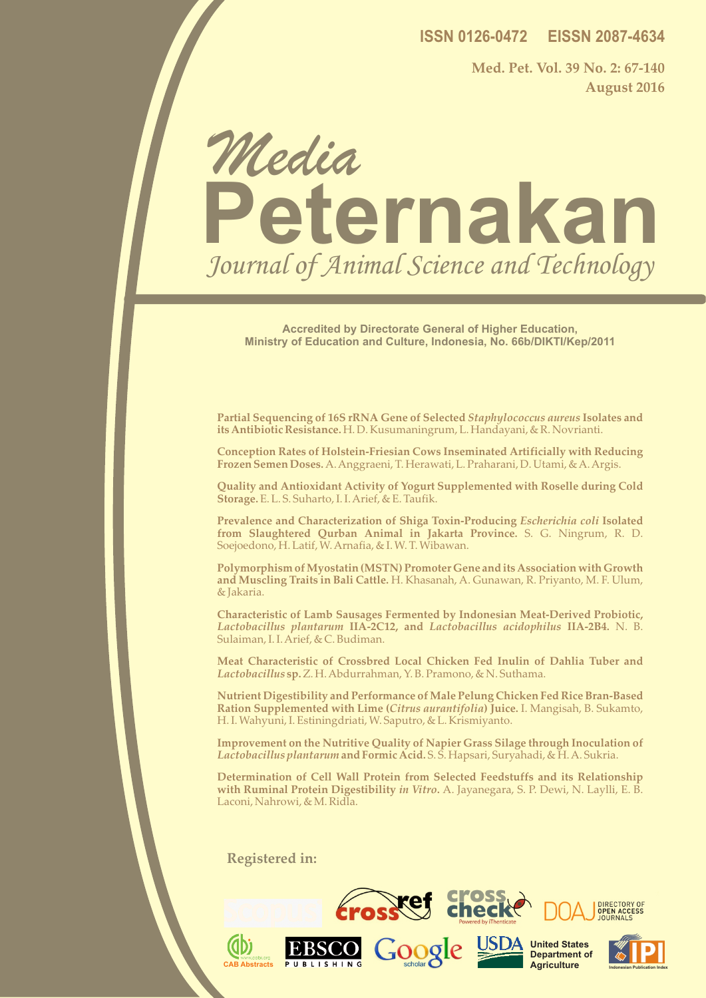**ISSN 0126-0472 EISSN 2087-4634**

**Med. Pet. Vol. 39 No. 2: 67-140 August 2016**

# **Peternakan** Media Journal of Animal Science and Technology

**Accredited by Directorate General of Higher Education, Ministry of Education and Culture, Indonesia, No. 66b/DIKTI/Kep/2011**

**Partial Sequencing of 16S rRNA Gene of Selected** *Staphylococcus aureus* **Isolates and its Antibiotic Resistance.** H. D. Kusumaningrum, L. Handayani, & R. Novrianti.

**Conception Rates of Holstein-Friesian Cows Inseminated Artificially with Reducing Frozen Semen Doses.** A. Anggraeni, T. Herawati, L. Praharani, D. Utami, & A. Argis.

**Quality and Antioxidant Activity of Yogurt Supplemented with Roselle during Cold Storage.** E. L. S. Suharto, I. I. Arief, & E. Taufik.

**Prevalence and Characterization of Shiga Toxin-Producing** *Escherichia coli* **Isolated from Slaughtered Qurban Animal in Jakarta Province.** S. G. Ningrum, R. D. Soejoedono, H. Latif, W. Arnafia, & I. W. T. Wibawan.

**Polymorphism of Myostatin (MSTN) Promoter Gene and its Association with Growth and Muscling Traits in Bali Cattle.** H. Khasanah, A. Gunawan, R. Priyanto, M. F. Ulum, & Jakaria.

**Characteristic of Lamb Sausages Fermented by Indonesian Meat-Derived Probiotic,**  *Lactobacillus plantarum* **IIA-2C12, and** *Lactobacillus acidophilus* **IIA-2B4.** N. B. Sulaiman, I. I. Arief, & C. Budiman.

**Meat Characteristic of Crossbred Local Chicken Fed Inulin of Dahlia Tuber and**  *Lactobacillus* **sp.** Z. H. Abdurrahman, Y. B. Pramono, & N. Suthama.

**Nutrient Digestibility and Performance of Male Pelung Chicken Fed Rice Bran-Based Ration Supplemented with Lime (***Citrus aurantifolia***) Juice.** I. Mangisah, B. Sukamto, H. I. Wahyuni, I. Estiningdriati, W. Saputro, & L. Krismiyanto.

**Improvement on the Nutritive Quality of Napier Grass Silage through Inoculation of**  *Lactobacillus plantarum* **and Formic Acid.** S. S. Hapsari, Suryahadi, & H. A. Sukria.

**Determination of Cell Wall Protein from Selected Feedstuffs and its Relationship with Ruminal Protein Digestibility** *in Vitro***.** A. Jayanegara, S. P. Dewi, N. Laylli, E. B. Laconi, Nahrowi, & M. Ridla.

Google

**Registered in:**

 **CAB Abstracts**

**AD** 

MEDIA PETERNAKAN

ISSN 0126-0472 EISSN 2087-4634



USDA United States

**Department of Agriculture** 



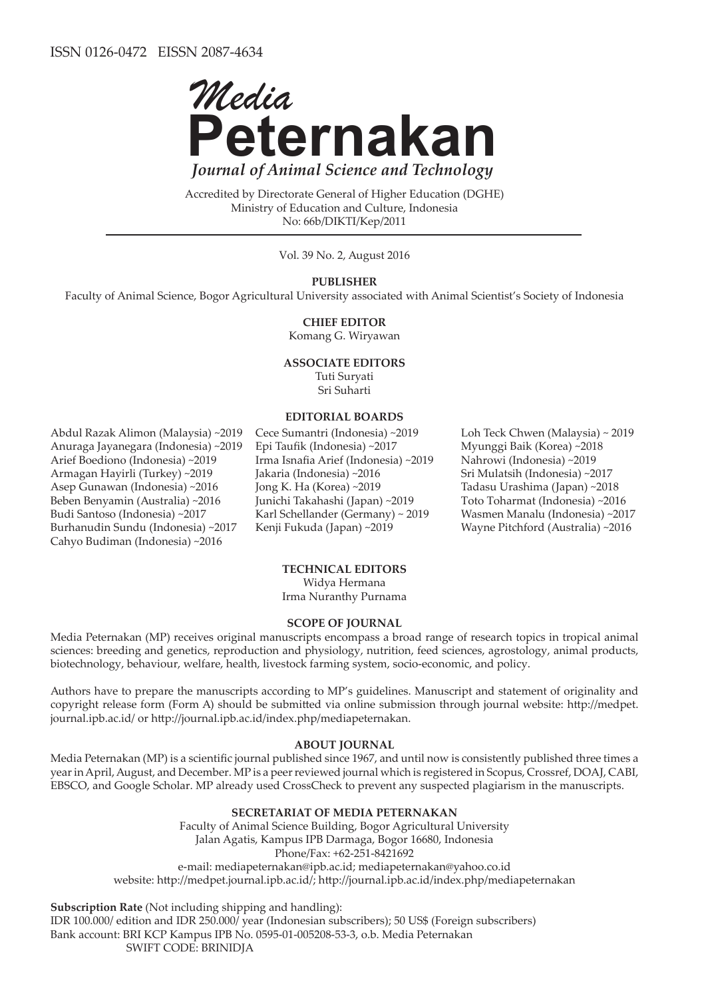

Accredited by Directorate General of Higher Education (DGHE) Ministry of Education and Culture, Indonesia No: 66b/DIKTI/Kep/2011

Vol. 39 No. 2, August 2016

### **PUBLISHER**

Faculty of Animal Science, Bogor Agricultural University associated with Animal Scientist's Society of Indonesia

#### **CHIEF EDITOR**

Komang G. Wiryawan

#### **ASSOCIATE EDITORS**

Tuti Suryati Sri Suharti

#### **EDITORIAL BOARDS**

Abdul Razak Alimon (Malaysia) ~2019 Anuraga Jayanegara (Indonesia) ~2019 Arief Boediono (Indonesia) ~2019 Armagan Hayirli (Turkey) ~2019 Asep Gunawan (Indonesia) ~2016 Beben Benyamin (Australia) ~2016 Budi Santoso (Indonesia) ~2017 Burhanudin Sundu (Indonesia) ~2017 Cahyo Budiman (Indonesia) ~2016

Cece Sumantri (Indonesia) ~2019 Epi Taufik (Indonesia) ~2017 Irma Isnafia Arief (Indonesia) ~2019 Jakaria (Indonesia) ~2016 Jong K. Ha (Korea) ~2019 Junichi Takahashi (Japan) ~2019 Karl Schellander (Germany) ~ 2019 Kenji Fukuda (Japan) ~2019

Loh Teck Chwen (Malaysia) ~ 2019 Myunggi Baik (Korea) ~2018 Nahrowi (Indonesia) ~2019 Sri Mulatsih (Indonesia) ~2017 Tadasu Urashima (Japan) ~2018 Toto Toharmat (Indonesia) ~2016 Wasmen Manalu (Indonesia) ~2017 Wayne Pitchford (Australia) ~2016

#### **TECHNICAL EDITORS**

Widya Hermana Irma Nuranthy Purnama

#### **SCOPE OF JOURNAL**

Media Peternakan (MP) receives original manuscripts encompass a broad range of research topics in tropical animal sciences: breeding and genetics, reproduction and physiology, nutrition, feed sciences, agrostology, animal products, biotechnology, behaviour, welfare, health, livestock farming system, socio-economic, and policy.

Authors have to prepare the manuscripts according to MP's guidelines. Manuscript and statement of originality and copyright release form (Form A) should be submitted via online submission through journal website: http://medpet. journal.ipb.ac.id/ or http://journal.ipb.ac.id/index.php/mediapeternakan.

#### **ABOUT JOURNAL**

Media Peternakan (MP) is a scientific journal published since 1967, and until now is consistently published three times a year in April, August, and December. MP is a peer reviewed journal which is registered in Scopus, Crossref, DOAJ, CABI, EBSCO, and Google Scholar. MP already used CrossCheck to prevent any suspected plagiarism in the manuscripts.

#### **SECRETARIAT OF MEDIA PETERNAKAN**

Faculty of Animal Science Building, Bogor Agricultural University Jalan Agatis, Kampus IPB Darmaga, Bogor 16680, Indonesia Phone/Fax: +62-251-8421692 e-mail: mediapeternakan@ipb.ac.id; mediapeternakan@yahoo.co.id website: http://medpet.journal.ipb.ac.id/; http://journal.ipb.ac.id/index.php/mediapeternakan

**Subscription Rate** (Not including shipping and handling): IDR 100.000/ edition and IDR 250.000/ year (Indonesian subscribers); 50 US\$ (Foreign subscribers) Bank account: BRI KCP Kampus IPB No. 0595-01-005208-53-3, o.b. Media Peternakan

SWIFT CODE: BRINIDJA